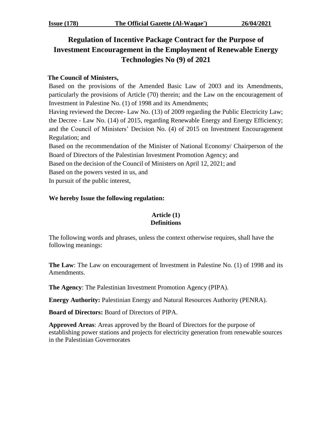# **Regulation of Incentive Package Contract for the Purpose of Investment Encouragement in the Employment of Renewable Energy Technologies No (9) of 2021**

# **The Council of Ministers,**

Based on the provisions of the Amended Basic Law of 2003 and its Amendments, particularly the provisions of Article (70) therein; and the Law on the encouragement of Investment in Palestine No. (1) of 1998 and its Amendments;

Having reviewed the Decree- Law No. (13) of 2009 regarding the Public Electricity Law; the Decree - Law No. (14) of 2015, regarding Renewable Energy and Energy Efficiency; and the Council of Ministers' Decision No. (4) of 2015 on Investment Encouragement Regulation; and

Based on the recommendation of the Minister of National Economy/ Chairperson of the Board of Directors of the Palestinian Investment Promotion Agency; and Based on the decision of the Council of Ministers on April 12, 2021; and

Based on the powers vested in us, and

In pursuit of the public interest,

## **We hereby Issue the following regulation:**

## **Article (1) Definitions**

The following words and phrases, unless the context otherwise requires, shall have the following meanings:

**The Law**: The Law on encouragement of Investment in Palestine No. (1) of 1998 and its Amendments.

**The Agency**: The Palestinian Investment Promotion Agency (PIPA).

**Energy Authority:** Palestinian Energy and Natural Resources Authority (PENRA).

**Board of Directors:** Board of Directors of PIPA.

**Approved Areas**: Areas approved by the Board of Directors for the purpose of establishing power stations and projects for electricity generation from renewable sources in the Palestinian Governorates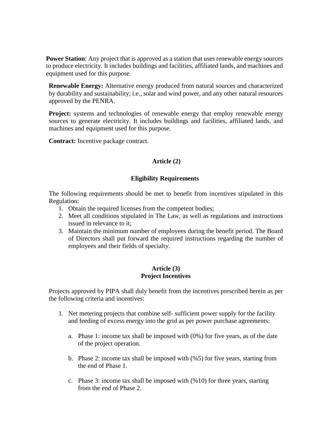**Power Station:** Any project that is approved as a station that uses renewable energy sources to produce electricity. It includes buildings and facilities, affiliated lands, and machines and equipment used for this purpose.

**Renewable Energy:** Alternative energy produced from natural sources and characterized by durability and sustainability; i.e., solar and wind power, and any other natural resources approved by the PENRA.

**Project:** systems and technologies of renewable energy that employ renewable energy sources to generate electricity. It includes buildings and facilities, affiliated lands, and machines and equipment used for this purpose.

**Contract:** Incentive package contract.

## **Article (2)**

## **Eligibility Requirements**

The following requirements should be met to benefit from incentives stipulated in this Regulation:

- 1. Obtain the required licenses from the competent bodies;
- 2. Meet all conditions stipulated in The Law, as well as regulations and instructions issued in relevance to it;
- 3. Maintain the minimum number of employees during the benefit period. The Board of Directors shall put forward the required instructions regarding the number of employees and their fields of specialty.

## **Article (3) Project Incentives**

Projects approved by PIPA shall duly benefit from the incentives prescribed herein as per the following criteria and incentives:

- 1. Net metering projects that combine self- sufficient power supply for the facility and feeding of excess energy into the grid as per power purchase agreements:
	- a. Phase 1: income tax shall be imposed with (0%) for five years, as of the date of the project operation.
	- b. Phase 2: income tax shall be imposed with (%5) for five years, starting from the end of Phase 1.
	- c. Phase 3: income tax shall be imposed with (%10) for three years, starting from the end of Phase 2.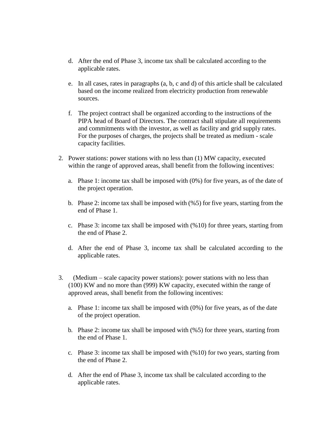- d. After the end of Phase 3, income tax shall be calculated according to the applicable rates.
- e. In all cases, rates in paragraphs (a, b, c and d) of this article shall be calculated based on the income realized from electricity production from renewable sources.
- f. The project contract shall be organized according to the instructions of the PIPA head of Board of Directors. The contract shall stipulate all requirements and commitments with the investor, as well as facility and grid supply rates. For the purposes of charges, the projects shall be treated as medium - scale capacity facilities.
- 2. Power stations: power stations with no less than (1) MW capacity, executed within the range of approved areas, shall benefit from the following incentives:
	- a. Phase 1: income tax shall be imposed with (0%) for five years, as of the date of the project operation.
	- b. Phase 2: income tax shall be imposed with (%5) for five years, starting from the end of Phase 1.
	- c. Phase 3: income tax shall be imposed with (%10) for three years, starting from the end of Phase 2.
	- d. After the end of Phase 3, income tax shall be calculated according to the applicable rates.
- 3. (Medium scale capacity power stations): power stations with no less than (100) KW and no more than (999) KW capacity, executed within the range of approved areas, shall benefit from the following incentives:
	- a. Phase 1: income tax shall be imposed with (0%) for five years, as of the date of the project operation.
	- b. Phase 2: income tax shall be imposed with (%5) for three years, starting from the end of Phase 1.
	- c. Phase 3: income tax shall be imposed with (%10) for two years, starting from the end of Phase 2.
	- d. After the end of Phase 3, income tax shall be calculated according to the applicable rates.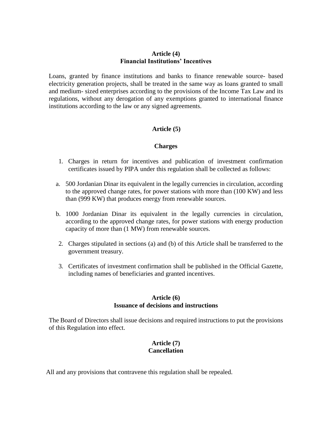#### **Article (4) Financial Institutions' Incentives**

Loans, granted by finance institutions and banks to finance renewable source- based electricity generation projects, shall be treated in the same way as loans granted to small and medium- sized enterprises according to the provisions of the Income Tax Law and its regulations, without any derogation of any exemptions granted to international finance institutions according to the law or any signed agreements.

## **Article (5)**

#### **Charges**

- 1. Charges in return for incentives and publication of investment confirmation certificates issued by PIPA under this regulation shall be collected as follows:
- a. 500 Jordanian Dinar its equivalent in the legally currencies in circulation, according to the approved change rates, for power stations with more than (100 KW) and less than (999 KW) that produces energy from renewable sources.
- b. 1000 Jordanian Dinar its equivalent in the legally currencies in circulation, according to the approved change rates, for power stations with energy production capacity of more than (1 MW) from renewable sources.
- 2. Charges stipulated in sections (a) and (b) of this Article shall be transferred to the government treasury.
- 3. Certificates of investment confirmation shall be published in the Official Gazette, including names of beneficiaries and granted incentives.

#### **Article (6) Issuance of decisions and instructions**

The Board of Directors shall issue decisions and required instructions to put the provisions of this Regulation into effect.

#### **Article (7) Cancellation**

All and any provisions that contravene this regulation shall be repealed.